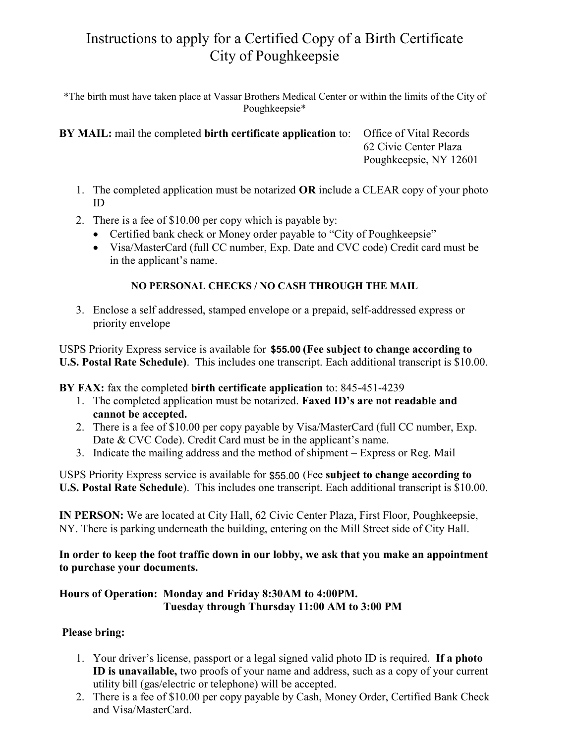## Instructions to apply for a Certified Copy of a Birth Certificate City of Poughkeepsie

\*The birth must have taken place at Vassar Brothers Medical Center or within the limits of the City of Poughkeepsie\*

**BY MAIL:** mail the completed **birth certificate application** to: Office of Vital Records 62 Civic Center Plaza Poughkeepsie, NY 12601

- 1. The completed application must be notarized **OR** include a CLEAR copy of your photo ID
- 2. There is a fee of \$10.00 per copy which is payable by:
	- Certified bank check or Money order payable to "City of Poughkeepsie"
	- Visa/MasterCard (full CC number, Exp. Date and CVC code) Credit card must be in the applicant's name.

### **NO PERSONAL CHECKS / NO CASH THROUGH THE MAIL**

3. Enclose a self addressed, stamped envelope or a prepaid, self-addressed express or priority envelope

USPS Priority Express service is available for \$51.00 **(Fee subject to change according to \$55.00U.S. Postal Rate Schedule)**. This includes one transcript. Each additional transcript is \$10.00.

**BY FAX:** fax the completed **birth certificate application** to: 845-451-4239

- 1. The completed application must be notarized. **Faxed ID's are not readable and cannot be accepted.**
- 2. There is a fee of \$10.00 per copy payable by Visa/MasterCard (full CC number, Exp. Date & CVC Code). Credit Card must be in the applicant's name.
- 3. Indicate the mailing address and the method of shipment Express or Reg. Mail

USPS Priority Express service is available for \$51.00 (Fee **subject to change according to**  \$55.00 **U.S. Postal Rate Schedule**). This includes one transcript. Each additional transcript is \$10.00.

**IN PERSON:** We are located at City Hall, 62 Civic Center Plaza, First Floor, Poughkeepsie, NY. There is parking underneath the building, entering on the Mill Street side of City Hall.

**In order to keep the foot traffic down in our lobby, we ask that you make an appointment to purchase your documents.** 

#### **Hours of Operation: Monday and Friday 8:30AM to 4:00PM. Tuesday through Thursday 11:00 AM to 3:00 PM**

#### **Please bring:**

- 1. Your driver's license, passport or a legal signed valid photo ID is required. **If a photo ID is unavailable,** two proofs of your name and address, such as a copy of your current utility bill (gas/electric or telephone) will be accepted.
- 2. There is a fee of \$10.00 per copy payable by Cash, Money Order, Certified Bank Check and Visa/MasterCard.